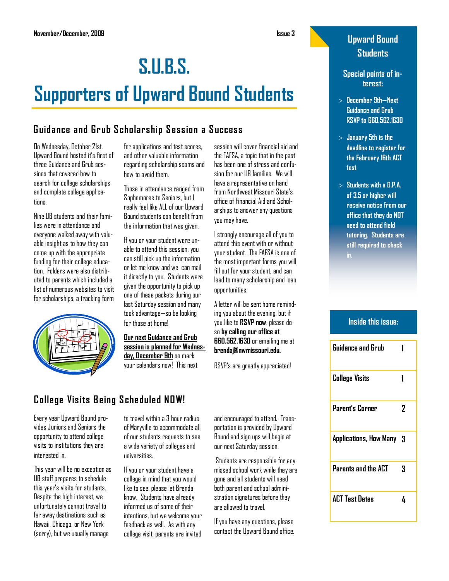# **S.U.B.S. Supporters of Upward Bound Students**

# **Guidance and Grub S cholarship S ession a S uccess**

On Wednesday, October 21st, Upward Bound hosted it's first of three Guidance and Grub sessions that covered how to search for college scholarships and complete college applicatinns.

Nine UB students and their families were in attendance and everyone walked away with valuable insight as to how they can come up with the appropriate funding for their college education. Folders were also distributed to parents which included a list of numerous websites to visit for scholarships, a tracking form



for applications and test scores, and other valuable information regarding scholarship scams and how to avoid them.

Those in attendance ranged from Sophomores to Seniors, but I really feel like ALL of our Upward Bound students can benefit from the information that was given.

If you or your student were unable to attend this session, you can still pick up the information or let me know and we can mail it directly to you. Students were given the opportunity to pick up one of these packets during our last Saturday session and many took advantage—so be looking for those at home!

**Our next Guidance and Grub session is planned for Wednesday, December 9th** so mark your calendars now! This next

session will cover financial aid and the FAFSA, a topic that in the past has been one of stress and confusion for our UB families. We will have a representative on hand from Northwest Missouri State's office of Financial Aid and Scholarships to answer any questions you may have.

I strongly encourage all of you to attend this event with or without your student. The FAFSA is one of the most important forms you will fill out for your student, and can lead to many scholarship and loan opportunities.

A letter will be sent home reminding you about the evening, but if you like to **RSVP now**, please do so **by calling our office at 660.562.1630** or emailing me at **brendaj@nwmissouri.edu.**

RSVP's are greatly appreciated!

# **College Visits B eing S cheduled NOW!**

Every year Upward Bound provides Juniors and Seniors the opportunity to attend college visits to institutions they are interested in.

This year will be no exception as UB staff prepares to schedule this year's visits for students. Despite the high interest, we unfortunately cannot travel to far away destinations such as Hawaii, Chicago, or New York (sorry), but we usually manage

to travel within a 3 hour radius of Maryville to accommodate all of our students requests to see a wide variety of colleges and universities.

If you or your student have a college in mind that you would like to see, please let Brenda know. Students have already informed us of some of their intentions, but we welcome your feedback as well. As with any college visit, parents are invited

and encouraged to attend. Transportation is provided by Upward Bound and sign ups will begin at our next Saturday session.

Students are responsible for any missed school work while they are gone and all students will need both parent and school administration signatures before they are allowed to travel.

If you have any questions, please contact the Upward Bound office.

# **Upward Bound Students**

#### **Special points of interest:**

- **December 9th—Next Guidance and Grub RSVP to 660.562.1630**
- **January 5th is the deadline to register for the February 16th ACT test**
- **Students with a G.P.A. of 3.5 or higher will receive notice from our office that they do NOT need to attend field tutoring. Students are still required to check**

### **Inside this issue:**

| Guidance and Grub        |   |
|--------------------------|---|
| <b>College Visits</b>    |   |
| Parent's Corner          | 2 |
| Applications, How Many 3 |   |
| Parents and the ACT      | 3 |
| <b>ACT Test Dates</b>    | 4 |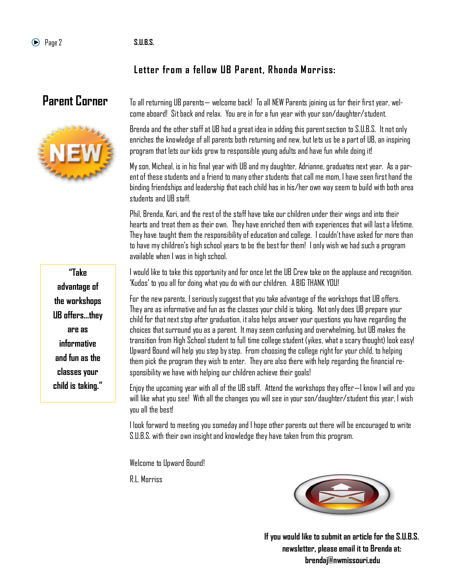## Letter from a fellow UB Parent, Rhonda Morriss:

# **Parent Corner**



To all returning UB parents— welcome back! To all NEW Parents joining us for their first year, welcome aboard! Sit back and relax. You are in for a fun year with your son/daughter/student.

Brenda and the other staff at UB had a great idea in adding this parent section to S.U.B.S. It not only enriches the knowledge of all parents both returning and new, but lets us be a part of UB, an inspiring program that lets our kids grow to responsible young adults and have fun while doing it!

My son, Micheal, is in his final year with UB and my daughter, Adrianne, graduates next year. As a parent of these students and a friend to many other students that call me mom, I have seen first hand the binding friendships and leadership that each child has in his/her own way seem to build with both area students and UB staff.

Phil, Brenda, Kori, and the rest of the staff have take our children under their wings and into their hearts and treat them as their own. They have enriched them with experiences that will last a lifetime. They have taught them the responsibility of education and college. I couldn't have asked for more than to have my children's high school years to be the best for them! I only wish we had such a program available when I was in high school.

I would like to take this opportunity and for once let the UB Crew take on the applause and recognition. ‗Kudos' to you all for doing what you do with our children. A BIG THANK YOU!

For the new parents, I seriously suggest that you take advantage of the workshops that UB offers. They are as informative and fun as the classes your child is taking. Not only does UB prepare your child for that next stop after graduation, it also helps answer your questions you have regarding the choices that surround you as a parent. It may seem confusing and overwhelming, but UB makes the transition from High School student to full time college student (yikes, what a scary thought) look easy! Upward Bound will help you step by step. From choosing the college right for your child, to helping them pick the program they wish to enter. They are also there with help regarding the financial responsibility we have with helping our children achieve their goals!

Enjoy the upcoming year with all of the UB staff. Attend the workshops they offer—I know I will and you will like what you see! With all the changes you will see in your son/daughter/student this year, I wish you all the best!

I look forward to meeting you someday and I hope other parents out there will be encouraged to write S.U.B.S. with their own insight and knowledge they have taken from this program.

Welcome to Upward Bound!

R.L. Morriss



**If you would like to submit an article for the S.U.B.S. newsletter, please email it to Brenda at: brendaj@nwmissouri.edu**

**"Take advantage of the workshops UB offers...they are as informative and fun as the classes your child is taking."**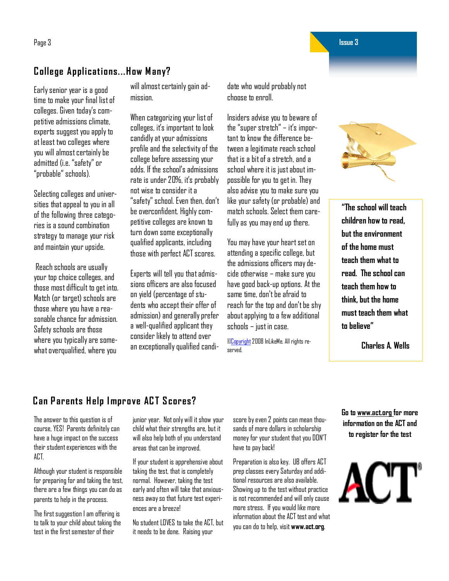Page 3 **Issue 3**

# **College Applications...How Many?**

Early senior year is a good time to make your final list of colleges. Given today's competitive admissions climate, experts suggest you apply to at least two colleges where you will almost certainly be admitted (i.e. "safety" or ―probable‖ schools).

Selecting colleges and universities that appeal to you in all of the following three categories is a sound combination strategy to manage your risk and maintain your upside.

Reach schools are usually your top choice colleges, and those most difficult to get into. Match (or target) schools are those where you have a reasonable chance for admission. Safety schools are those where you typically are somewhat overqualified, where you

will almost certainly gain admission.

When categorizing your list of colleges, it's important to look candidly at your admissions profile and the selectivity of the college before assessing your odds. If the school's admissions rate is under 20%, it's probably not wise to consider it a ―safety‖ school. Even then, don't be overconfident. Highly competitive colleges are known to turn down some exceptionally qualified applicants, including those with perfect ACT scores.

Experts will tell you that admissions officers are also focused on yield (percentage of students who accept their offer of admission) and generally prefer a well-qualified applicant they consider likely to attend over an exceptionally qualified candidate who would probably not choose to enroll.

Insiders advise you to beware of the "super stretch" – it's important to know the difference between a legitimate reach school that is a bit of a stretch, and a school where it is just about impossible for you to get in. They also advise you to make sure you like your safety (or probable) and match schools. Select them carefully as you may end up there.

You may have your heart set on attending a specific college, but the admissions officers may decide otherwise – make sure you have good back-up options. At the same time, don't be afraid to reach for the top and don't be shy about applying to a few additional schools – just in case.

[©Copyright2](http://www.inlikeme.com/../../../../../node/189)008 InLikeMe. All rights reserved.



**"The school will teach children how to read, but the environment of the home must teach them what to read. The school can teach them how to think, but the home must teach them what to believe"** 

**Charles A. Wells**

## **Can P arents H elp I mprove AC T S cores?**

The answer to this question is of course, YES! Parents definitely can have a huge impact on the success their student experiences with the ACT.

Although your student is responsible for preparing for and taking the test, there are a few things you can do as parents to help in the process.

The first suggestion I am offering is to talk to your child about taking the test in the first semester of their

junior year. Not only will it show your child what their strengths are, but it will also help both of you understand areas that can be improved.

If your student is apprehensive about taking the test, that is completely normal. However, taking the test early and often will take that anxiousness away so that future test experiences are a breeze!

No student LOVES to take the ACT, but it needs to be done. Raising your

score by even 2 points can mean thousands of more dollars in scholarship money for your student that you DON'T have to pay back!

Preparation is also key. UB offers ACT prep classes every Saturday and additional resources are also available. Showing up to the test without practice is not recommended and will only cause more stress. If you would like more information about the ACT test and what you can do to help, visit **www.act.org**.

**Go to www.act.org for more information on the ACT and to register for the test**